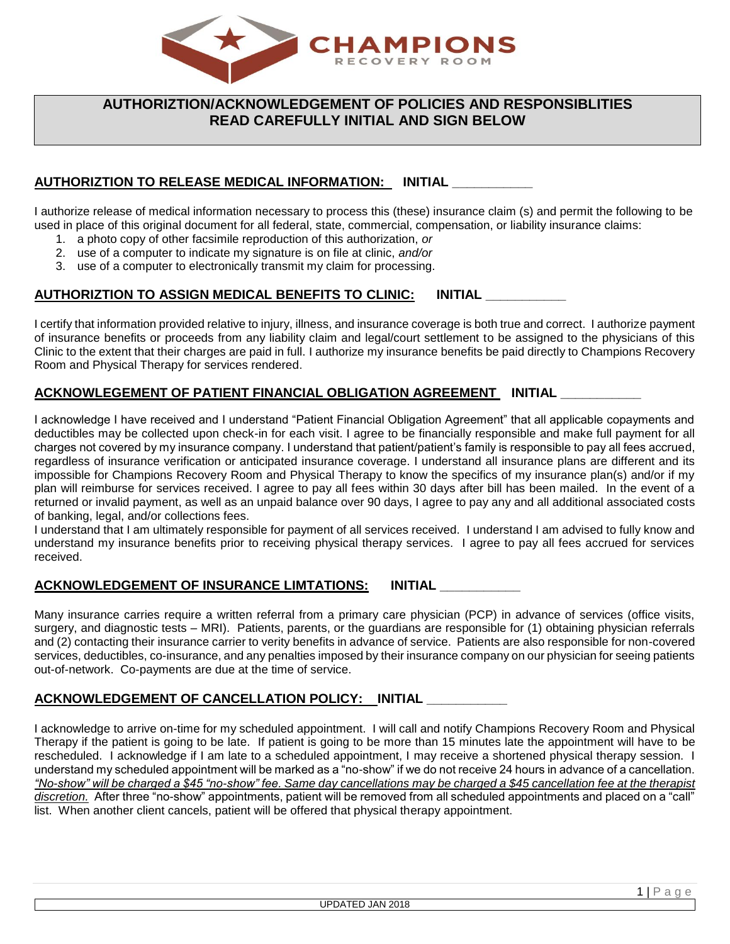

# **AUTHORIZTION/ACKNOWLEDGEMENT OF POLICIES AND RESPONSIBLITIES READ CAREFULLY INITIAL AND SIGN BELOW**

## **AUTHORIZTION TO RELEASE MEDICAL INFORMATION: INITIAL \_\_\_\_\_\_\_\_\_\_\_**

I authorize release of medical information necessary to process this (these) insurance claim (s) and permit the following to be used in place of this original document for all federal, state, commercial, compensation, or liability insurance claims:

- 1. a photo copy of other facsimile reproduction of this authorization, *or*
- 2. use of a computer to indicate my signature is on file at clinic, *and/or*
- 3. use of a computer to electronically transmit my claim for processing.

## **AUTHORIZTION TO ASSIGN MEDICAL BENEFITS TO CLINIC: INITIAL \_\_\_\_\_\_\_\_\_\_\_**

I certify that information provided relative to injury, illness, and insurance coverage is both true and correct. I authorize payment of insurance benefits or proceeds from any liability claim and legal/court settlement to be assigned to the physicians of this Clinic to the extent that their charges are paid in full. I authorize my insurance benefits be paid directly to Champions Recovery Room and Physical Therapy for services rendered.

### **ACKNOWLEGEMENT OF PATIENT FINANCIAL OBLIGATION AGREEMENT INITIAL \_\_\_\_\_\_\_\_\_\_\_**

I acknowledge I have received and I understand "Patient Financial Obligation Agreement" that all applicable copayments and deductibles may be collected upon check-in for each visit. I agree to be financially responsible and make full payment for all charges not covered by my insurance company. I understand that patient/patient's family is responsible to pay all fees accrued, regardless of insurance verification or anticipated insurance coverage. I understand all insurance plans are different and its impossible for Champions Recovery Room and Physical Therapy to know the specifics of my insurance plan(s) and/or if my plan will reimburse for services received. I agree to pay all fees within 30 days after bill has been mailed. In the event of a returned or invalid payment, as well as an unpaid balance over 90 days, I agree to pay any and all additional associated costs of banking, legal, and/or collections fees.

I understand that I am ultimately responsible for payment of all services received. I understand I am advised to fully know and understand my insurance benefits prior to receiving physical therapy services. I agree to pay all fees accrued for services received.

### **ACKNOWLEDGEMENT OF INSURANCE LIMTATIONS: INITIAL \_\_\_\_\_\_\_\_\_\_\_**

Many insurance carries require a written referral from a primary care physician (PCP) in advance of services (office visits, surgery, and diagnostic tests – MRI). Patients, parents, or the guardians are responsible for (1) obtaining physician referrals and (2) contacting their insurance carrier to verity benefits in advance of service. Patients are also responsible for non-covered services, deductibles, co-insurance, and any penalties imposed by their insurance company on our physician for seeing patients out-of-network. Co-payments are due at the time of service.

#### **ACKNOWLEDGEMENT OF CANCELLATION POLICY: INITIAL \_\_\_\_\_\_\_\_\_\_\_**

I acknowledge to arrive on-time for my scheduled appointment. I will call and notify Champions Recovery Room and Physical Therapy if the patient is going to be late. If patient is going to be more than 15 minutes late the appointment will have to be rescheduled. I acknowledge if I am late to a scheduled appointment, I may receive a shortened physical therapy session. I understand my scheduled appointment will be marked as a "no-show" if we do not receive 24 hours in advance of a cancellation. *"No-show" will be charged a \$45 "no-show" fee. Same day cancellations may be charged a \$45 cancellation fee at the therapist discretion.* After three "no-show" appointments, patient will be removed from all scheduled appointments and placed on a "call" list. When another client cancels, patient will be offered that physical therapy appointment.